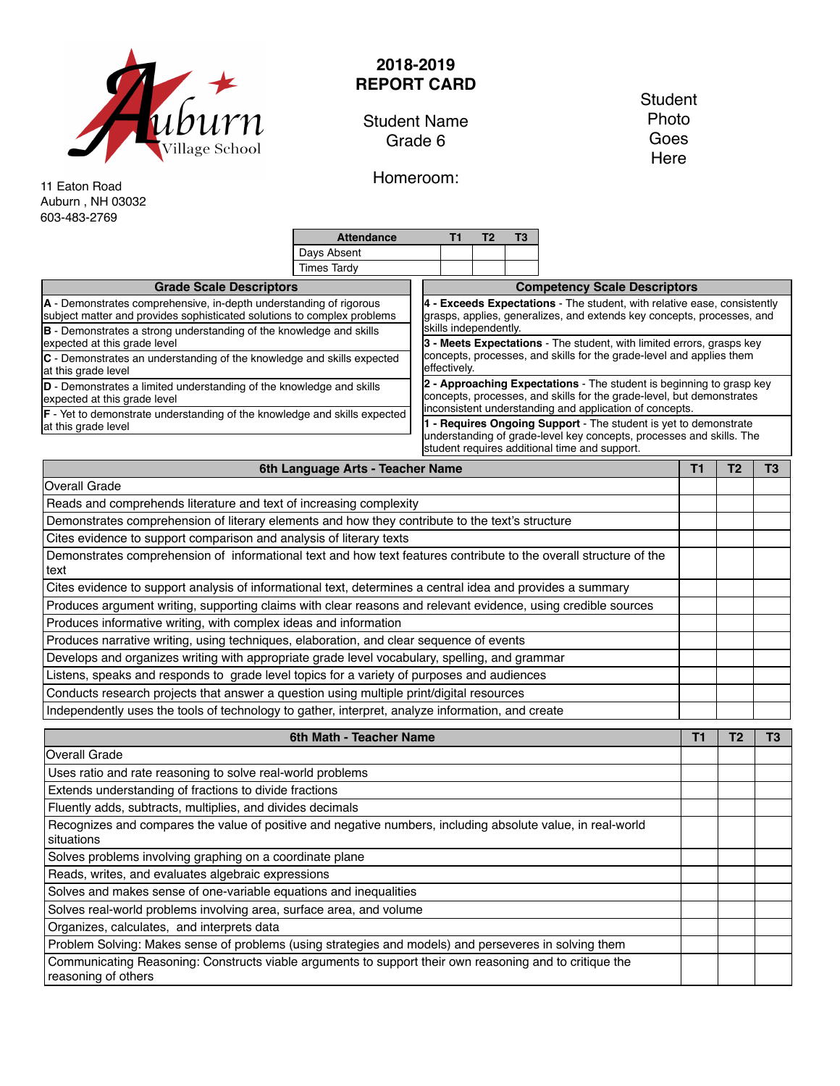

## **2018-2019 REPORT CARD**

Student Name Grade 6

Homeroom:

**Student** Photo Goes Here

11 Eaton Road Auburn , NH 03032 603-483-2769

|                                                                                                                                               | <b>Attendance</b>                                                                    |  | Т1                                                                                                                                                                                      | Т2                                                                                                                                                                                                       | T3 |  |  |  |  |  |  |
|-----------------------------------------------------------------------------------------------------------------------------------------------|--------------------------------------------------------------------------------------|--|-----------------------------------------------------------------------------------------------------------------------------------------------------------------------------------------|----------------------------------------------------------------------------------------------------------------------------------------------------------------------------------------------------------|----|--|--|--|--|--|--|
|                                                                                                                                               | Days Absent                                                                          |  |                                                                                                                                                                                         |                                                                                                                                                                                                          |    |  |  |  |  |  |  |
|                                                                                                                                               | <b>Times Tardy</b>                                                                   |  |                                                                                                                                                                                         |                                                                                                                                                                                                          |    |  |  |  |  |  |  |
| <b>Grade Scale Descriptors</b>                                                                                                                |                                                                                      |  | <b>Competency Scale Descriptors</b>                                                                                                                                                     |                                                                                                                                                                                                          |    |  |  |  |  |  |  |
| A - Demonstrates comprehensive, in-depth understanding of rigorous<br>subject matter and provides sophisticated solutions to complex problems |                                                                                      |  |                                                                                                                                                                                         | 4 - Exceeds Expectations - The student, with relative ease, consistently<br>grasps, applies, generalizes, and extends key concepts, processes, and<br>skills independently.                              |    |  |  |  |  |  |  |
| <b>B</b> - Demonstrates a strong understanding of the knowledge and skills<br>expected at this grade level                                    |                                                                                      |  |                                                                                                                                                                                         | 3 - Meets Expectations - The student, with limited errors, grasps key                                                                                                                                    |    |  |  |  |  |  |  |
| C - Demonstrates an understanding of the knowledge and skills expected<br>at this grade level                                                 | concepts, processes, and skills for the grade-level and applies them<br>effectively. |  |                                                                                                                                                                                         |                                                                                                                                                                                                          |    |  |  |  |  |  |  |
| <b>D</b> - Demonstrates a limited understanding of the knowledge and skills<br>expected at this grade level                                   |                                                                                      |  |                                                                                                                                                                                         | 2 - Approaching Expectations - The student is beginning to grasp key<br>concepts, processes, and skills for the grade-level, but demonstrates<br>inconsistent understanding and application of concepts. |    |  |  |  |  |  |  |
| <b>F</b> - Yet to demonstrate understanding of the knowledge and skills expected<br>at this grade level                                       |                                                                                      |  | - Requires Ongoing Support - The student is yet to demonstrate<br>understanding of grade-level key concepts, processes and skills. The<br>student requires additional time and support. |                                                                                                                                                                                                          |    |  |  |  |  |  |  |

| 6th Language Arts - Teacher Name                                                                                          |  |  |  |  |  |
|---------------------------------------------------------------------------------------------------------------------------|--|--|--|--|--|
| <b>Overall Grade</b>                                                                                                      |  |  |  |  |  |
| Reads and comprehends literature and text of increasing complexity                                                        |  |  |  |  |  |
| Demonstrates comprehension of literary elements and how they contribute to the text's structure                           |  |  |  |  |  |
| Cites evidence to support comparison and analysis of literary texts                                                       |  |  |  |  |  |
| Demonstrates comprehension of informational text and how text features contribute to the overall structure of the<br>text |  |  |  |  |  |
| Cites evidence to support analysis of informational text, determines a central idea and provides a summary                |  |  |  |  |  |
| Produces argument writing, supporting claims with clear reasons and relevant evidence, using credible sources             |  |  |  |  |  |
| Produces informative writing, with complex ideas and information                                                          |  |  |  |  |  |
| Produces narrative writing, using techniques, elaboration, and clear sequence of events                                   |  |  |  |  |  |
| Develops and organizes writing with appropriate grade level vocabulary, spelling, and grammar                             |  |  |  |  |  |
| Listens, speaks and responds to grade level topics for a variety of purposes and audiences                                |  |  |  |  |  |
| Conducts research projects that answer a question using multiple print/digital resources                                  |  |  |  |  |  |
| Independently uses the tools of technology to gather, interpret, analyze information, and create                          |  |  |  |  |  |

| 6th Math - Teacher Name                                                                                                        | Τ1 |  |  |  |
|--------------------------------------------------------------------------------------------------------------------------------|----|--|--|--|
| Overall Grade                                                                                                                  |    |  |  |  |
| Uses ratio and rate reasoning to solve real-world problems                                                                     |    |  |  |  |
| Extends understanding of fractions to divide fractions                                                                         |    |  |  |  |
| Fluently adds, subtracts, multiplies, and divides decimals                                                                     |    |  |  |  |
| Recognizes and compares the value of positive and negative numbers, including absolute value, in real-world<br>situations      |    |  |  |  |
| Solves problems involving graphing on a coordinate plane                                                                       |    |  |  |  |
| Reads, writes, and evaluates algebraic expressions                                                                             |    |  |  |  |
| Solves and makes sense of one-variable equations and inequalities                                                              |    |  |  |  |
| Solves real-world problems involving area, surface area, and volume                                                            |    |  |  |  |
| Organizes, calculates, and interprets data                                                                                     |    |  |  |  |
| Problem Solving: Makes sense of problems (using strategies and models) and perseveres in solving them                          |    |  |  |  |
| Communicating Reasoning: Constructs viable arguments to support their own reasoning and to critique the<br>reasoning of others |    |  |  |  |